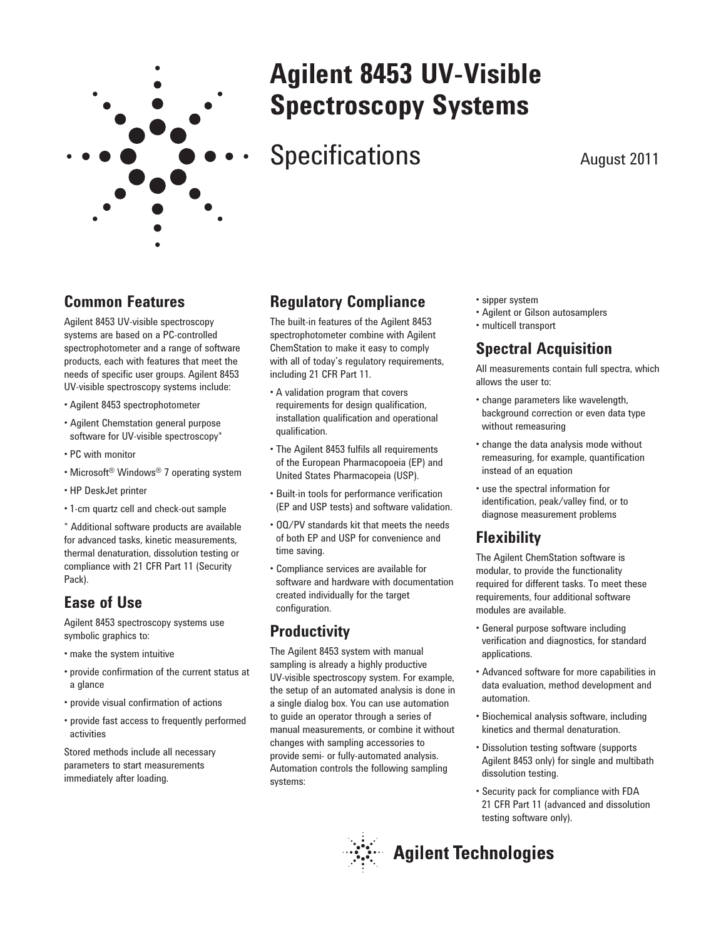

# **Agilent 8453 UV-Visible Spectroscopy Systems**

# Specifications August 2011

## **Common Features**

Agilent 8453 UV-visible spectroscopy systems are based on a PC-controlled spectrophotometer and a range of software products, each with features that meet the needs of specific user groups. Agilent 8453 UV-visible spectroscopy systems include:

- Agilent 8453 spectrophotometer
- Agilent Chemstation general purpose software for UV-visible spectroscopy\*
- PC with monitor
- Microsoft<sup>®</sup> Windows<sup>®</sup> 7 operating system
- HP DeskJet printer
- 1-cm quartz cell and check-out sample

\* Additional software products are available for advanced tasks, kinetic measurements, thermal denaturation, dissolution testing or compliance with 21 CFR Part 11 (Security Pack).

## **Ease of Use**

Agilent 8453 spectroscopy systems use symbolic graphics to:

- make the system intuitive
- provide confirmation of the current status at a glance
- provide visual confirmation of actions
- provide fast access to frequently performed activities

Stored methods include all necessary parameters to start measurements immediately after loading.

## **Regulatory Compliance**

The built-in features of the Agilent 8453 spectrophotometer combine with Agilent ChemStation to make it easy to comply with all of today's regulatory requirements, including 21 CFR Part 11.

- A validation program that covers requirements for design qualification, installation qualification and operational qualification.
- The Agilent 8453 fulfils all requirements of the European Pharmacopoeia (EP) and United States Pharmacopeia (USP).
- Built-in tools for performance verification (EP and USP tests) and software validation.
- OQ/PV standards kit that meets the needs of both EP and USP for convenience and time saving.
- Compliance services are available for software and hardware with documentation created individually for the target configuration.

## **Productivity**

The Agilent 8453 system with manual sampling is already a highly productive UV-visible spectroscopy system. For example, the setup of an automated analysis is done in a single dialog box. You can use automation to guide an operator through a series of manual measurements, or combine it without changes with sampling accessories to provide semi- or fully-automated analysis. Automation controls the following sampling systems:

- sipper system
- Agilent or Gilson autosamplers
- multicell transport

## **Spectral Acquisition**

All measurements contain full spectra, which allows the user to:

- change parameters like wavelength, background correction or even data type without remeasuring
- change the data analysis mode without remeasuring, for example, quantification instead of an equation
- use the spectral information for identification, peak/valley find, or to diagnose measurement problems

## **Flexibility**

The Agilent ChemStation software is modular, to provide the functionality required for different tasks. To meet these requirements, four additional software modules are available.

- General purpose software including verification and diagnostics, for standard applications.
- Advanced software for more capabilities in data evaluation, method development and automation.
- Biochemical analysis software, including kinetics and thermal denaturation.
- Dissolution testing software (supports Agilent 8453 only) for single and multibath dissolution testing.
- Security pack for compliance with FDA 21 CFR Part 11 (advanced and dissolution testing software only).



# **Agilent Technologies**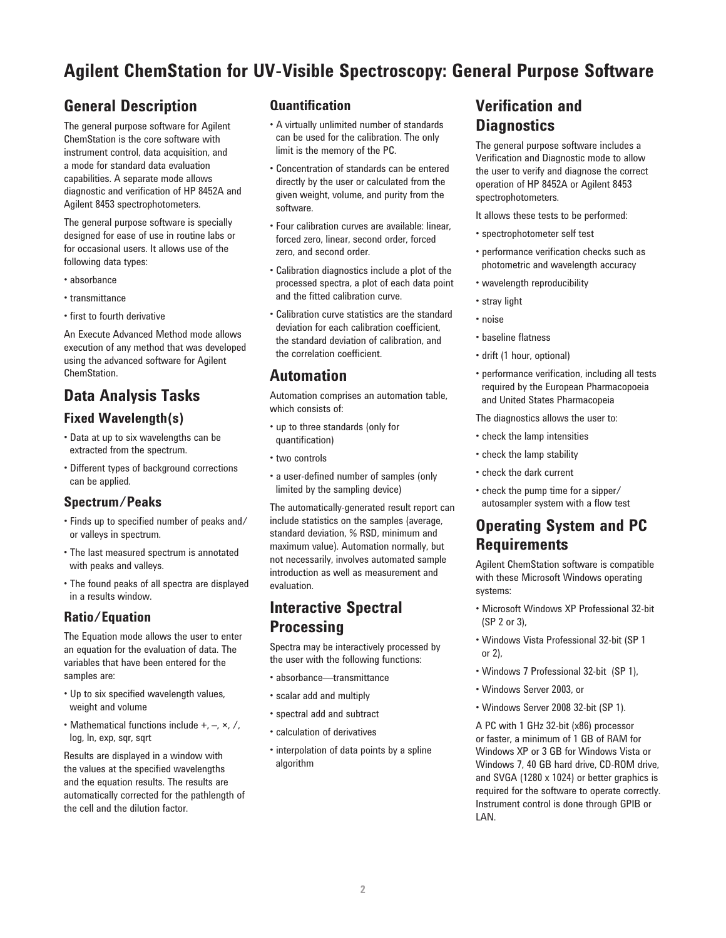# **Agilent ChemStation for UV-Visible Spectroscopy: General Purpose Software**

## **General Description**

The general purpose software for Agilent ChemStation is the core software with instrument control, data acquisition, and a mode for standard data evaluation capabilities. A separate mode allows diagnostic and verification of HP 8452A and Agilent 8453 spectrophotometers.

The general purpose software is specially designed for ease of use in routine labs or for occasional users. It allows use of the following data types:

- absorbance
- transmittance
- first to fourth derivative

An Execute Advanced Method mode allows execution of any method that was developed using the advanced software for Agilent ChemStation.

## **Data Analysis Tasks**

#### **Fixed Wavelength(s)**

- Data at up to six wavelengths can be extracted from the spectrum.
- Different types of background corrections can be applied.

#### **Spectrum/Peaks**

- Finds up to specified number of peaks and/ or valleys in spectrum.
- The last measured spectrum is annotated with peaks and valleys.
- The found peaks of all spectra are displayed in a results window.

#### **Ratio/Equation**

The Equation mode allows the user to enter an equation for the evaluation of data. The variables that have been entered for the samples are:

- Up to six specified wavelength values, weight and volume
- Mathematical functions include  $+$ ,  $-$ ,  $\times$ ,  $/$ , log, ln, exp, sqr, sqrt

Results are displayed in a window with the values at the specified wavelengths and the equation results. The results are automatically corrected for the pathlength of the cell and the dilution factor.

#### **Quantifi cation**

- A virtually unlimited number of standards can be used for the calibration. The only limit is the memory of the PC.
- Concentration of standards can be entered directly by the user or calculated from the given weight, volume, and purity from the software.
- Four calibration curves are available: linear, forced zero, linear, second order, forced zero, and second order.
- Calibration diagnostics include a plot of the processed spectra, a plot of each data point and the fitted calibration curve.
- Calibration curve statistics are the standard deviation for each calibration coefficient, the standard deviation of calibration, and the correlation coefficient.

## **Automation**

Automation comprises an automation table, which consists of:

- up to three standards (only for quantification)
- two controls
- a user-defined number of samples (only limited by the sampling device)

The automatically-generated result report can include statistics on the samples (average, standard deviation, % RSD, minimum and maximum value). Automation normally, but not necessarily, involves automated sample introduction as well as measurement and evaluation.

## **Interactive Spectral Processing**

Spectra may be interactively processed by the user with the following functions:

- absorbance—transmittance
- scalar add and multiply
- spectral add and subtract
- calculation of derivatives
- interpolation of data points by a spline algorithm

## **Verification and Diagnostics**

The general purpose software includes a Verification and Diagnostic mode to allow the user to verify and diagnose the correct operation of HP 8452A or Agilent 8453 spectrophotometers.

It allows these tests to be performed:

- spectrophotometer self test
- performance verification checks such as photometric and wavelength accuracy
- wavelength reproducibility
- stray light
- noise
- baseline flatness
- drift (1 hour, optional)
- performance verification, including all tests required by the European Pharmacopoeia and United States Pharmacopeia
- The diagnostics allows the user to:
- check the lamp intensities
- check the lamp stability
- check the dark current
- check the pump time for a sipper/ autosampler system with a flow test

## **Operating System and PC Requirements**

Agilent ChemStation software is compatible with these Microsoft Windows operating systems:

- Microsoft Windows XP Professional 32-bit (SP 2 or 3),
- Windows Vista Professional 32-bit (SP 1 or 2),
- Windows 7 Professional 32-bit (SP 1),
- Windows Server 2003, or
- Windows Server 2008 32-bit (SP 1).

A PC with 1 GHz 32-bit (x86) processor or faster, a minimum of 1 GB of RAM for Windows XP or 3 GB for Windows Vista or Windows 7, 40 GB hard drive, CD-ROM drive, and SVGA (1280 x 1024) or better graphics is required for the software to operate correctly. Instrument control is done through GPIB or LAN.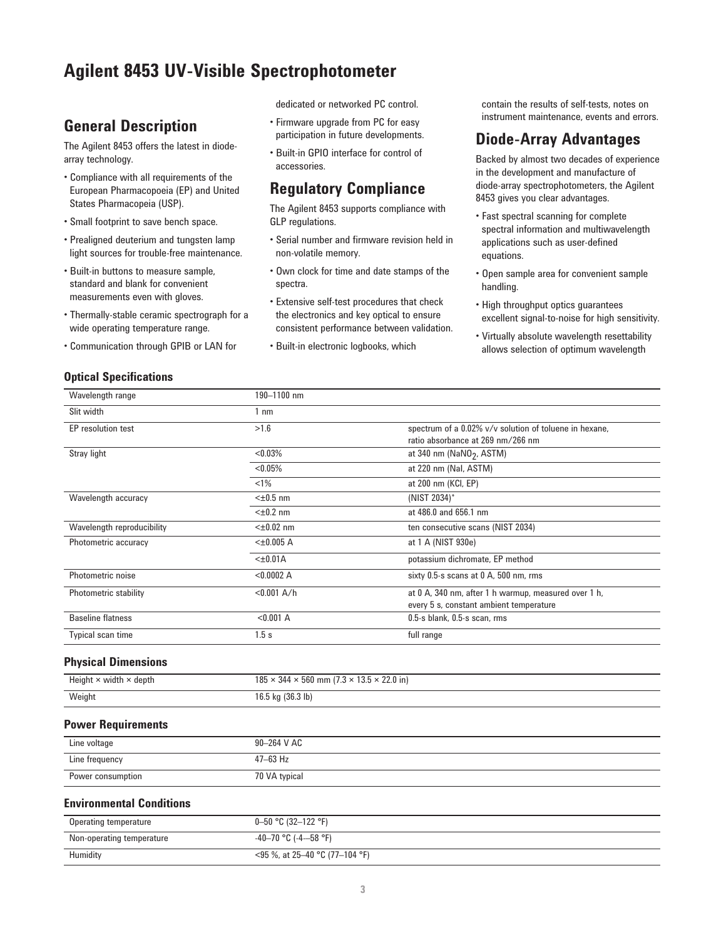## **Agilent 8453 UV-Visible Spectrophotometer**

## **General Description**

The Agilent 8453 offers the latest in diodearray technology.

- Compliance with all requirements of the European Pharmacopoeia (EP) and United States Pharmacopeia (USP).
- Small footprint to save bench space.
- Prealigned deuterium and tungsten lamp light sources for trouble-free maintenance.
- Built-in buttons to measure sample, standard and blank for convenient measurements even with gloves.
- Thermally-stable ceramic spectrograph for a wide operating temperature range.
- Communication through GPIB or LAN for

#### **Optical Specifications**

dedicated or networked PC control.

- Firmware upgrade from PC for easy participation in future developments.
- Built-in GPIO interface for control of accessories.

### **Regulatory Compliance**

The Agilent 8453 supports compliance with GLP regulations.

- Serial number and firmware revision held in non-volatile memory.
- Own clock for time and date stamps of the spectra.
- Extensive self-test procedures that check the electronics and key optical to ensure consistent performance between validation.
- Built-in electronic logbooks, which

contain the results of self-tests, notes on instrument maintenance, events and errors.

### **Diode-Array Advantages**

Backed by almost two decades of experience in the development and manufacture of diode-array spectrophotometers, the Agilent 8453 gives you clear advantages.

- Fast spectral scanning for complete spectral information and multiwavelength applications such as user-defined equations.
- Open sample area for convenient sample handling.
- High throughput optics guarantees excellent signal-to-noise for high sensitivity.
- Virtually absolute wavelength resettability allows selection of optimum wavelength

| Wavelength range             | 190-1100 nm    |                                                        |
|------------------------------|----------------|--------------------------------------------------------|
| Slit width                   | 1 nm           |                                                        |
| EP resolution test           | >1.6           | spectrum of a 0.02% v/v solution of toluene in hexane, |
|                              |                | ratio absorbance at 269 nm/266 nm                      |
| Stray light                  | $< 0.03\%$     | at 340 nm ( $NaNO2$ , ASTM)                            |
|                              | $< 0.05\%$     | at 220 nm (Nal, ASTM)                                  |
|                              | $< 1\%$        | at 200 nm (KCI, EP)                                    |
| Wavelength accuracy          | $<\pm 0.5$ nm  | (NIST 2034)*                                           |
|                              | $<\pm 0.2$ nm  | at 486.0 and 656.1 nm                                  |
| Wavelength reproducibility   | $<\pm 0.02$ nm | ten consecutive scans (NIST 2034)                      |
| Photometric accuracy         | $<\pm 0.005$ A | at 1 A (NIST 930e)                                     |
|                              | $<\pm 0.01$ A  | potassium dichromate, EP method                        |
| Photometric noise            | < 0.0002 A     | sixty 0.5-s scans at 0 A, 500 nm, rms                  |
| <b>Photometric stability</b> | $< 0.001$ A/h  | at 0 A, 340 nm, after 1 h warmup, measured over 1 h,   |
|                              |                | every 5 s, constant ambient temperature                |
| <b>Baseline flatness</b>     | < 0.001 A      | 0.5-s blank, 0.5-s scan, rms                           |
| Typical scan time            | 1.5s           | full range                                             |

#### **Physical Dimensions**

| Height $\times$ width $\times$ depth | $185 \times 344 \times 560$ mm (7.3 $\times$ 13.5 $\times$ 22.0 in) |
|--------------------------------------|---------------------------------------------------------------------|
| Weight                               | 16.5 kg (36.3 lb)                                                   |

#### **Power Requirements**

| Line voltage      | 90-264 V AC   |
|-------------------|---------------|
| Line frequency    | $47 - 63$ Hz  |
| Power consumption | 70 VA typical |

#### **Environmental Conditions**

| Operating temperature     | $0 - 50$ °C (32-122 °F)              |
|---------------------------|--------------------------------------|
| Non-operating temperature | -40-70 °C (-4--58 °F)                |
| Humidity                  | $\leq$ 95 %, at 25–40 °C (77–104 °F) |